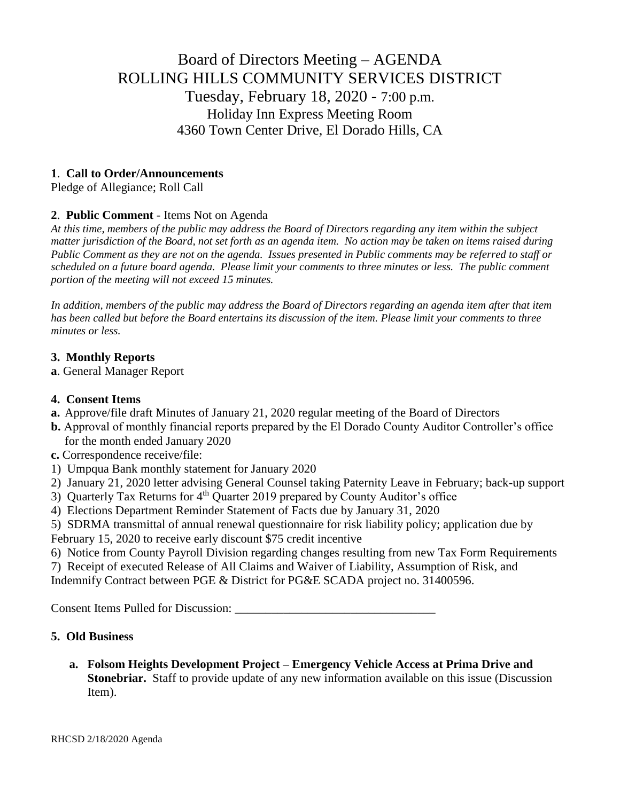# Board of Directors Meeting – AGENDA ROLLING HILLS COMMUNITY SERVICES DISTRICT Tuesday, February 18, 2020 - 7:00 p.m. Holiday Inn Express Meeting Room 4360 Town Center Drive, El Dorado Hills, CA

# **1**. **Call to Order/Announcements**

Pledge of Allegiance; Roll Call

# **2**. **Public Comment** - Items Not on Agenda

*At this time, members of the public may address the Board of Directors regarding any item within the subject matter jurisdiction of the Board, not set forth as an agenda item. No action may be taken on items raised during Public Comment as they are not on the agenda. Issues presented in Public comments may be referred to staff or scheduled on a future board agenda. Please limit your comments to three minutes or less. The public comment portion of the meeting will not exceed 15 minutes.*

*In addition, members of the public may address the Board of Directors regarding an agenda item after that item has been called but before the Board entertains its discussion of the item. Please limit your comments to three minutes or less.*

### **3. Monthly Reports**

**a**. General Manager Report

### **4. Consent Items**

- **a.** Approve/file draft Minutes of January 21, 2020 regular meeting of the Board of Directors
- **b.** Approval of monthly financial reports prepared by the El Dorado County Auditor Controller's office for the month ended January 2020
- **c.** Correspondence receive/file:
- 1) Umpqua Bank monthly statement for January 2020
- 2) January 21, 2020 letter advising General Counsel taking Paternity Leave in February; back-up support
- 3) Quarterly Tax Returns for 4<sup>th</sup> Quarter 2019 prepared by County Auditor's office
- 4) Elections Department Reminder Statement of Facts due by January 31, 2020

5) SDRMA transmittal of annual renewal questionnaire for risk liability policy; application due by February 15, 2020 to receive early discount \$75 credit incentive

6) Notice from County Payroll Division regarding changes resulting from new Tax Form Requirements

7) Receipt of executed Release of All Claims and Waiver of Liability, Assumption of Risk, and

Indemnify Contract between PGE & District for PG&E SCADA project no. 31400596.

Consent Items Pulled for Discussion: \_\_\_\_\_\_\_\_\_\_\_\_\_\_\_\_\_\_\_\_\_\_\_\_\_\_\_\_\_\_\_\_\_

# **5. Old Business**

**a. Folsom Heights Development Project – Emergency Vehicle Access at Prima Drive and Stonebriar.** Staff to provide update of any new information available on this issue (Discussion Item).